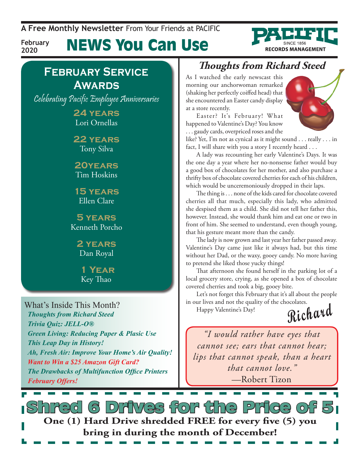**A Free Monthly Newsletter** From Your Friends at Pacific

**February 2020**

# News You Can Use

### **February Service Awards**

Celebrating Pacific Employee Anniversaries

**24 years** Lori Ornellas

**22 years** Tony Silva

**20years** Tim Hoskins

**15 years** Ellen Clare

**5 years** Kenneth Porcho

> **2 years** Dan Royal

 **1 Year** Key Thao

What's Inside This Month? *Thoughts from Richard Steed Trivia Quiz: JELL-O® Green Living: Reducing Paper & Plasic Use This Leap Day in History! Ah, Fresh Air: Improve Your Home's Air Quality! Want to Win a \$25 Amazon Gift Card? The Drawbacks of Multifunction Office Printers February Offers!*

### **Thoughts from Richard Steed**

As I watched the early newscast this morning our anchorwoman remarked (shaking her perfectly coiffed head) that she encountered an Easter candy display at a store recently.

Easter? It's February! What happened to Valentine's Day? You know . . . gaudy cards, overpriced roses and the



**RECORDS MANAGEMENT** 

like? Yet, I'm not as cynical as it might sound . . . really . . . in fact, I will share with you a story I recently heard . . .

A lady was recounting her early Valentine's Days. It was the one day a year where her no-nonsense father would buy a good box of chocolates for her mother, and also purchase a thrifty box of chocolate covered cherries for each of his children, which would be unceremoniously dropped in their laps.

The thing is . . . none of the kids cared for chocolate covered cherries all that much, especially this lady, who admitted she despised them as a child. She did not tell her father this, however. Instead, she would thank him and eat one or two in front of him. She seemed to understand, even though young, that his gesture meant more than the candy.

The lady is now grown and last year her father passed away. Valentine's Day came just like it always had, but this time without her Dad, or the waxy, gooey candy. No more having to pretend she liked those yucky things!

That afternoon she found herself in the parking lot of a local grocery store, crying, as she opened a box of chocolate covered cherries and took a big, gooey bite.

Let's not forget this February that it's all about the people in our lives and not the quality of the chocolates.

Happy Valentine's Day!

**Richard**

*"I would rather have eyes that cannot see; ears that cannot hear; lips that cannot speak, than a heart that cannot love."*  —Robert Tizon

s Drives for the Price of **One (1) Hard Drive shredded FREE for every five (5) you bring in during the month of December!**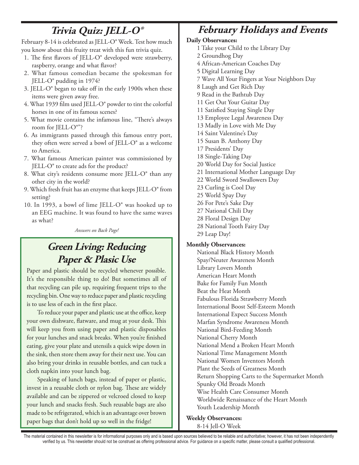## **Trivia Quiz: JELL-O®**

February 8-14 is celebrated as JELL-O® Week. Test how much you know about this fruity treat with this fun trivia quiz.

- 1. The first flavors of JELL-O® developed were strawberry, raspberry, orange and what flavor?
- 2. What famous comedian became the spokesman for JELL-O® pudding in 1974?
- 3. JELL-O® began to take off in the early 1900s when these items were given away free.
- 4. What 1939 film used JELL-O® powder to tint the colorful horses in one of its famous scenes?
- 5. What movie contains the infamous line, "There's always room for JELL-O®"?
- 6. As immigrants passed through this famous entry port, they often were served a bowl of JELL-O® as a welcome to America.
- 7. What famous American painter was commissioned by JELL-O® to create ads for the product?
- 8. What city's residents consume more JELL-O® than any other city in the world?
- 9. Which fresh fruit has an enzyme that keeps JELL-O® from setting?
- 10. In 1993, a bowl of lime JELL-O® was hooked up to an EEG machine. It was found to have the same waves as what?

*Answers on Back Page!*

### **Green Living: Reducing Paper & Plasic Use**

Paper and plastic should be recycled whenever possible. It's the responsible thing to do! But sometimes all of that recycling can pile up, requiring frequent trips to the recycling bin. One way to reduce paper and plastic recycling is to use less of each in the first place.

To reduce your paper and plastic use at the office, keep your own dishware, flatware, and mug at your desk. This will keep you from using paper and plastic disposables for your lunches and snack breaks. When you're finished eating, give your plate and utensils a quick wipe down in the sink, then store them away for their next use. You can also bring your drinks in reusable bottles, and can tuck a cloth napkin into your lunch bag.

Speaking of lunch bags, instead of paper or plastic, invest in a reusable cloth or nylon bag. These are widely available and can be zippered or velcroed closed to keep your lunch and snacks fresh. Such reusable bags are also made to be refrigerated, which is an advantage over brown paper bags that don't hold up so well in the fridge!

### **February Holidays and Events**

#### **Daily Observances:**

- 1 Take your Child to the Library Day
- 2 Groundhog Day
- 4 African-American Coaches Day
- 5 Digital Learning Day
- 7 Wave All Your Fingers at Your Neighbors Day
- 8 Laugh and Get Rich Day
- 9 Read in the Bathtub Day
- 11 Get Out Your Guitar Day
- 11 Satisfied Staying Single Day
- 13 Employee Legal Awareness Day
- 13 Madly in Love with Me Day
- 14 Saint Valentine's Day
- 15 Susan B. Anthony Day
- 17 Presidents' Day
- 18 Single-Taking Day
- 20 World Day for Social Justice
- 21 International Mother Language Day
- 22 World Sword Swallowers Day
- 23 Curling is Cool Day
- 25 World Spay Day
- 26 For Pete's Sake Day
- 27 National Chili Day
- 28 Floral Design Day
- 28 National Tooth Fairy Day 29 Leap Day!

#### **Monthly Observances:**

National Black History Month Spay/Neuter Awareness Month Library Lovers Month American Heart Month Bake for Family Fun Month Beat the Heat Month Fabulous Florida Strawberry Month International Boost Self-Esteem Month International Expect Success Month Marfan Syndrome Awareness Month National Bird-Feeding Month National Cherry Month National Mend a Broken Heart Month National Time Management Month National Women Inventors Month Plant the Seeds of Greatness Month Return Shopping Carts to the Supermarket Month Spunky Old Broads Month Wise Health Care Consumer Month Worldwide Renaissance of the Heart Month Youth Leadership Month

**Weekly Observances:**

8-14 Jell-O Week

The material contained in this newsletter is for informational purposes only and is based upon sources believed to be reliable and authoritative; however, it has not been independently verified by us. This newsletter should not be construed as offering professional advice. For guidance on a specific matter, please consult a qualified professional.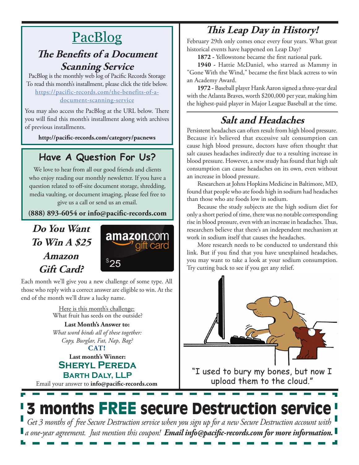# **PacBlog**

#### **The Benefits of a Document Scanning Service**

PacBlog is the monthly web log of Pacific Records Storage To read this month's installment, please click the title below[.](http://pacific-records.com/5-advantages-of-a-local-shredding-and-destruction-provider) [https://pacific-records.com/the-benefits-of-a](https://pacific-records.com/the-benefits-of-a-document-scanning-service)[document-scanning-service](https://pacific-records.com/the-benefits-of-a-document-scanning-service)

You may also access the PacBlog at the URL below. There you will find this month's installment along with archives of previous installments.

**http://pacific-records.com/category/pacnews**

### **Have A Question For Us?**

We love to hear from all our good friends and clients who enjoy reading our monthly newsletter. If you have a question related to off-site document storage, shredding, media vaulting, or document imaging, please feel free to give us a call or send us an email.

**(888) 893-6054 or info@pacific-records.com**

#### **Do You Want To Win A \$25 Amazon Gift Card?**



Each month we'll give you a new challenge of some type. All those who reply with a correct answer are eligible to win. At the end of the month we'll draw a lucky name.

> Here is this month's challenge: What fruit has seeds on the outside?

> **CAT! Last Month's Answer to:**  *What word binds all of these together: Copy, Burglar, Fat, Nap, Bag?*

#### **Last month's Winner: Sheryl Pereda Barth Daly, LLP**

Email your answer to **info@pacific-records.com**

## **This Leap Day in History!**

February 29th only comes once every four years. What great historical events have happened on Leap Day?

**1872 -** Yellowstone became the first national park.

**1940 -** Hattie McDaniel, who starred as Mammy in "Gone With the Wind," became the first black actress to win an Academy Award.

**1972 -** Baseball player Hank Aaron signed a three-year deal with the Atlanta Braves, worth \$200,000 per year, making him the highest-paid player in Major League Baseball at the time.

## **Salt and Headaches**

Persistent headaches can often result from high blood pressure. Because it's believed that excessive salt consumption can cause high blood pressure, doctors have often thought that salt causes headaches indirectly due to a resulting increase in blood pressure. However, a new study has found that high salt consumption can cause headaches on its own, even without an increase in blood pressure.

Researchers at Johns Hopkins Medicine in Baltimore, MD, found that people who ate foods high in sodium had headaches than those who ate foods low in sodium.

Because the study subjects ate the high sodium diet for only a short period of time, there was no notable corresponding rise in blood pressure, even with an increase in headaches. Thus, researchers believe that there's an independent mechanism at work in sodium itself that causes the headaches.

More research needs to be conducted to understand this link. But if you find that you have unexplained headaches, you may want to take a look at your sodium consumption. Try cutting back to see if you get any relief.



"I used to bury my bones, but now I upload them to the cloud."

# 3 months FREE secure Destruction service

*Get 3 months of free Secure Destruction service when you sign up for a new Secure Destruction account with a one-year agreement. Just mention this coupon! Email info@pacific-records.com for more information.*